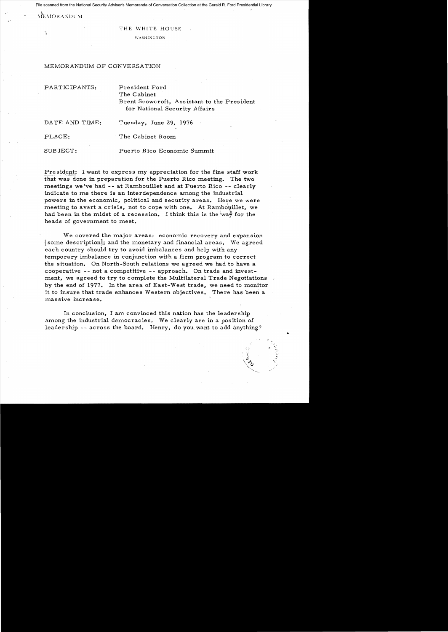File scanned from the National Security Adviser's Memoranda of Conversation Collection at the Gerald R. Ford Presidential Library

MEMORANDUM

.'

## THE WHITE HOUSE

WASHINGTON

## MEMORANDUM OF CONVERSATION

PARTICIPANTS: President Ford

## The Cabinet Brent Scowcroft, Assistant to the President for National Security Affairs

DATE AND TIME: Tuesday, June 29, 1976

PLACE: The Cabinet Room

SUBJECT: Puerto Rico Economic Summit

President: I want to express my appreciation for the fine staff work that was done in preparation for the Puerto Rico meeting. The two meetings we've had -- at Rambouillet and at Puerto Rico -- clearly indicate to me there is an interdependence among the industrial powers in the economic, political and security areas. Here we were meeting to avert a crisis, not to cope with one. At Rambouillet, we had been in the midst of a recession. I think this is the way for the heads of government to meet.

We covered the major areas: economic recovery and expansion [some description]; and the monetary and financial areas. We agreed each country should try to avoid imbalances and help with any temporary imbalance in conjunction with a firm program to correct the situation. On North-South relations we agreed we had to have a cooperative -- not a competitive -- approach. On trade and investment, we agreed to try to complete the Multilateral Trade Negotiations by the end of 1977. In the area of East-West trade, we need to monitor it to insure that trade enhances Western objectives. There has been a massive increase.

In conclusion, I am convinced this nation has the leadership among the industrial democracies. We clearly are in a position of leadership -- across the board. Henry, do you want to add anything?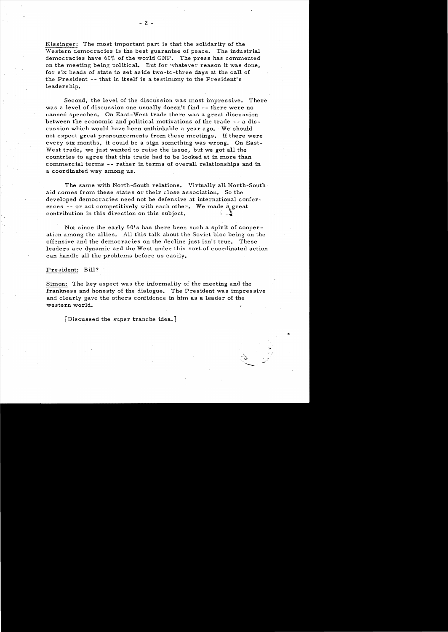Kissinger: The most important part is that the solidarity of the Western democracies is the best guarantee of peace. The industrial dermocracies have  $60\%$  of the world GNP. The press has commented on the meeting being political. But for whatever reason it was done. for six heads of state to set aside two-tc -three days at the call of the President -- that in itself is a testimony to the President's leaders hip.

Second, the level of the discussion was most impressive. There was a level of discussion one usually doesn't find -- there were no canned speeches. On East-West trade there was a great discussion between the economic and political motivations of the trade -- a discussion which would have been unthinkable a year ago. We should not expect great pronouncements from these meetings. U there were every six months, it could be a sign something was wrong. On East-West trade, we just wanted to raise the issue, but we got all the countries to agree that this trade had to be looked at in more than commercial terms -- rather in terms of overall relationships and in a coordinated way among us.

The same with North-South relations. Virtually all North-South aid comes from these states or their close association. So the developed democracies need not be defensive at international conferences -- or act competitively with each other. We made a great contribution in this direction on this subject.

Not since the early 50's has there been such a spirit of cooperation among the allies. A1l this talk about the Soviet bloc being on the offensive and the democracies on the decline just isn't true. These leaders are dynamic and the West under this sort of coordinated action can handle all the problems before us easily.

## President: Bill?

Simon: The key aspect was the informality of the meeting and the frankness and honesty of the dialogue. The President was impressive and clearly gave the others confidence in him as a leader of the western world.

"",

[Discussed the super tranche idea.]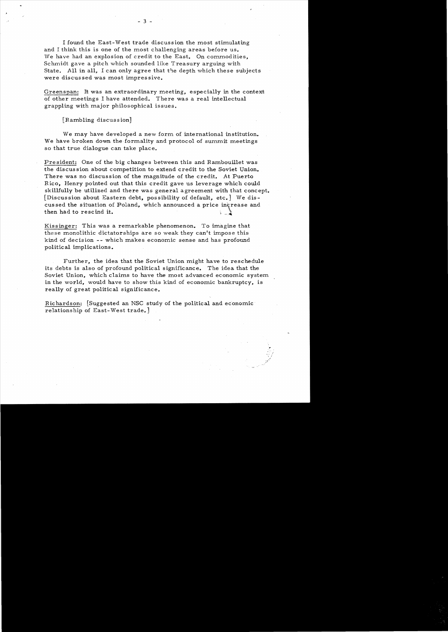I found the East-West trade discussion the most stimulating and I think this is one of the most challenging areas before us. We have had an explosion of credit to the East. On commodities, Schmidt gave a pitch which sounded like Treasury arguing with State. All in all, I can only agree that the depth which these subjects were discussed was most impressive.

Greenspan: It was an extraordinary meeting, especially in the context of other meetings I have attended. There was a real intellectual grappling with major philosophical issues.

[Rambling discussion]

We may have developed a new form of international institution. We have broken down the formality and protocol of summit meetings so that true dialogue can take place.

President: One of the big changes between this and Rambouillet was the discussion about competition to extend credit to the Soviet Onion. There was no discussion of the magnitude of the credit. At Puerto Rico, Henry pointed out that this credit gave us leverage which could skillfully be utilized and there was general agreement with that concept. [Discussion about Eastern debt, possibility of default, etc.] We discussed the situation of Poland, which announced a price increase and Rico, Henry pointed out that this credit gave us leverage which skillfully be utilized and there was general agreement with that [Discussion about Eastern debt, possibility of default, etc.] We cussed the situation of Pola

Kissinger: This was a remarkable phenomenon. To imagine that these monolithic dictatorships are so weak they can't impose this kind of decision -- which makes economic *sense* and has profound politic al implic ations.

Further, the idea that the Soviet Union might have to reschedule its debts is also of profound political significance. The idea that the Soviet Union, which claims to have the most advanced economic system in the world, would have to show this kind of economic bankruptcy, is really of great political significance.

Richardson: [Suggested an NSC study of the political and economic· relationship of East-West trade.)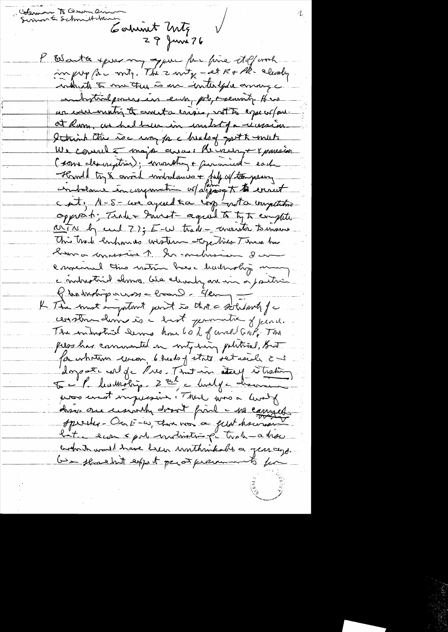Coleman To Oswan anno<br>Summer & Schmitt-traner Carlwort Unter  $29$  June 76 P Escrita après me que for pour de deformat conducto to me true to un interface amonge andrestroil pour en eur pole, meanity Her un ever with the contact and is not to expect put. at Rum, as had been in under Ja recession I think this is my fac huds of got & mut. We consult major avais Minery + x pouraisse (some desirgition); monday + paramied each Homed try & annie indretences + bill of tempesary opport; Trade Invest-agent to tyto compute artin by cuil 77; E-W trade- avanta tomans This track enhances unative stop times Tene has Koma convenir 1 hr melissier da envers de ties crotain base badrohy mon c indrestrie dema cle charly an in a position Q habitipares = home - deing = L The most empatant part is that a solutionly for constru dema is a hast permette of pena. The entrythind Serves home 60 % of correl Guik The pers has commented in vity hing political, But for whatever circon, 6 heads of state set usual 2 mg dangement de Pres Jontin ateuf à trassin Je la haumolin 2 rue à la loure pios creat impressive (There was a lively disér au cesionly doort fine - no cannel specific - On E-w, that was a felat haumon Kat, eur spok unitivitie på trak a ha bohat would have been unthinkable a generage. be thought expect per presumments for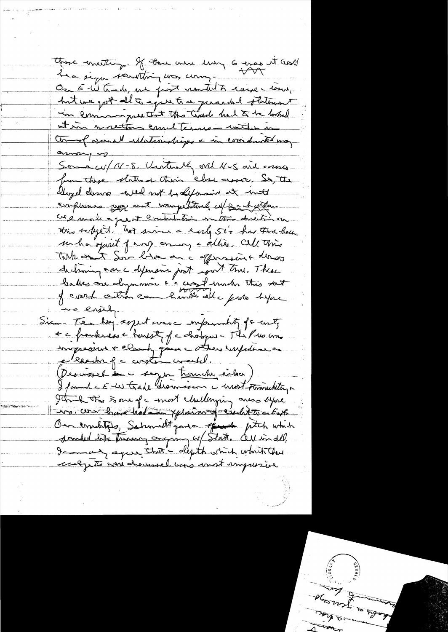there envetting. If they were living 6 eras it and hea sign sountting was comment On E-W trade, nu post ventil à carre come, hit we get all a spentra perarded otherwart in lamanguesthat the Great had to be looked at in mostly coulterns - with in tomos ( associal ullatroughings + in coordinated may omany no Some cu/ N-8. Untimally vil N-5 and corses from these states of their class assoc. So, the eloyed desure a red not by defensive at met complemmes use and wangetstund w/ sach when ce é un le a quest crutation un toi direction this selyed. not since a early 50's has there have su ha sprit pary ening eallies. Cell Mis Talk ont Son him and offers in a dernes dechaning von c defensant post sont true. These balles avec deparaire l'accest under this sat us ensuing. Siam-Te hay agent was emperadity of the top + c from kness + transfer of a chalopers - The Pres and imprésent + clamp pour cotter inspirance Desimesel à cappe trouble rélace) I found & E-w trade discoveren a most pointed to p I think this is one of a most childrying awas lyone Lis. com have hat in yphain freucht to ctax On emblises, Saturielt parta résult ptch which I - agree that's depth which which there realgests wire choused was mot impused